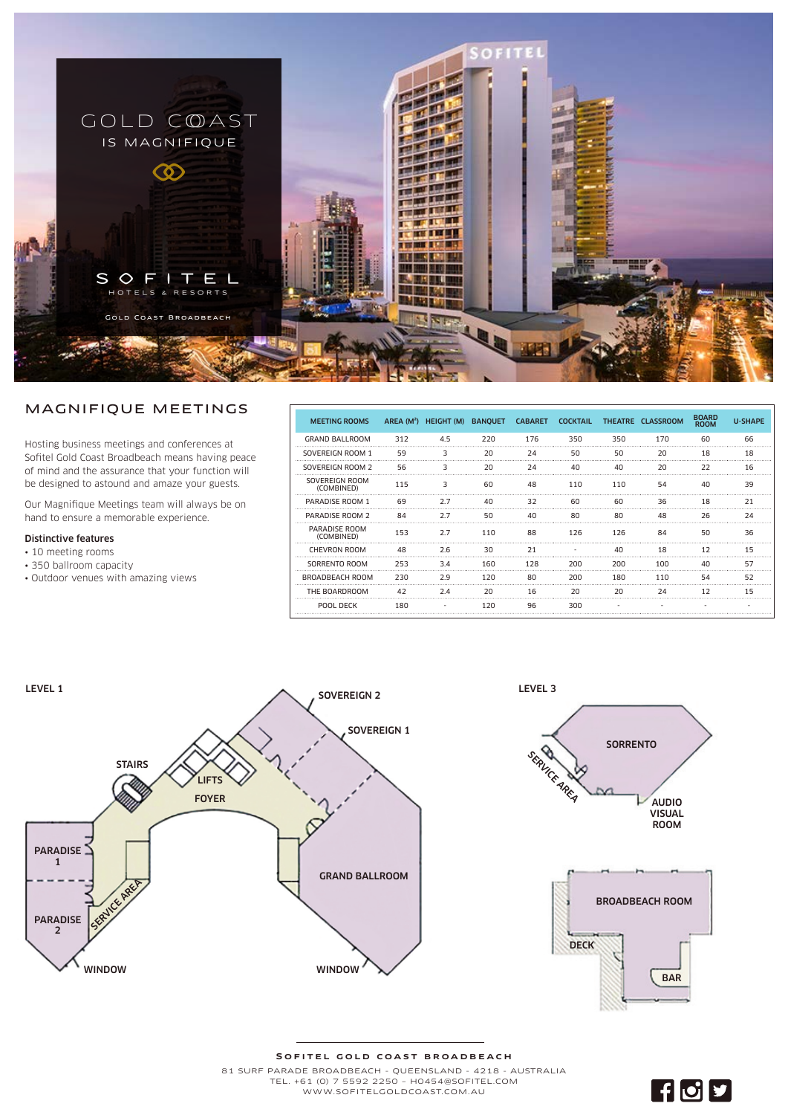

## MAGNIFIQUE MEETINGS

Hosting business meetings and conferences at Sofitel Gold Coast Broadbeach means having peace of mind and the assurance that your function will be designed to astound and amaze your guests.

Our Magnifique Meetings team will always be on hand to ensure a memorable experience.

## Distinctive features

- 10 meeting rooms
- 350 ballroom capacity
- Outdoor venues with amazing views

| <b>MEETING ROOMS</b>         |     | AREA (M <sup>2</sup> ) HEIGHT (M) BANOUET |     | <b>CABARET</b> | <b>COCKTAIL</b> |     | THEATRE CLASSROOM | <b>BOARD</b><br><b>ROOM</b> | <b>U-SHAPE</b> |
|------------------------------|-----|-------------------------------------------|-----|----------------|-----------------|-----|-------------------|-----------------------------|----------------|
| <b>GRAND BALLROOM</b>        | 312 | 4.5                                       | 220 | 176            | 350             | 350 | 170               | 60                          | 66             |
| SOVEREIGN ROOM 1             | 59  | 3                                         | 20  | 24             | 50              | 50  | 20                | 18                          | 18             |
| SOVEREIGN ROOM 2             | 56  |                                           | 20  | 24             | 40              | 40  | 20                | 22                          | 16             |
| SOVEREIGN ROOM<br>(COMBINED) | 115 | 3                                         | 60  | 48             | 110             | 110 | 54                | 40                          | 39             |
| PARADISE ROOM 1              | 69  | 2.7                                       | 40  | 32             | 60              | 60  | 36                | 18                          | 21             |
| PARADISE ROOM 2              | 84  | 2.7                                       | 50  | 40             | 80              | 80  | 48                | 26                          | 74             |
| PARADISE ROOM<br>(COMBINED)  | 153 | 2.7                                       | 110 | 88             | 126             | 126 | 84                | 50                          | 36             |
| <b>CHEVRON ROOM</b>          | 48  | 2.6                                       | 30  | 21             |                 | 40  | 18                | 12                          | 15             |
| SORRENTO ROOM                | 253 | 3.4                                       | 160 | 128            | 200             | 200 | 100               | 40                          | 57             |
| <b>BROADBEACH ROOM</b>       | 230 | 2.9                                       | 120 | 80             | 200             | 180 | 110               | 54                          | 52             |
| THE BOARDROOM                | 42  | 2.4                                       | 20  | 16             | 20              | 20  | 74                | 12                          | 15             |
| POOL DECK                    | 180 |                                           | 120 | 96             | 300             |     |                   |                             |                |

FOD



## SOFITEL GOLD COAST BROADBEACH 81 SURF PARADE BROADBEACH - QUEENSLAND - 4218 - AUSTRALIA

TEL. +61 (0) 7 5592 2250 – H0454@SOFITEL.COM WWW.SOFITELGOLDCOAST.COM .AU